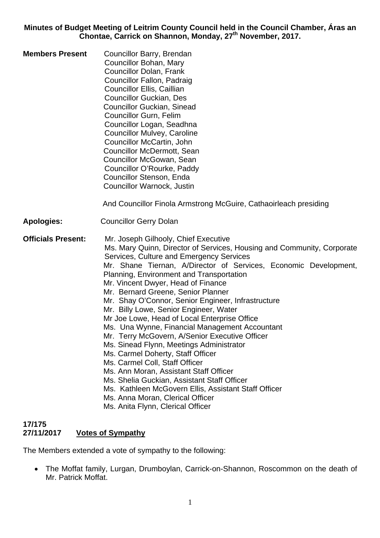**Minutes of Budget Meeting of Leitrim County Council held in the Council Chamber, Áras an Chontae, Carrick on Shannon, Monday, 27th November, 2017.** 

**Members Present** Councillor Barry, Brendan Councillor Bohan, Mary Councillor Dolan, Frank Councillor Fallon, Padraig Councillor Ellis, Caillian Councillor Guckian, Des Councillor Guckian, Sinead Councillor Gurn, Felim Councillor Logan, Seadhna Councillor Mulvey, Caroline Councillor McCartin, John Councillor McDermott, Sean Councillor McGowan, Sean Councillor O'Rourke, Paddy Councillor Stenson, Enda Councillor Warnock, Justin

And Councillor Finola Armstrong McGuire, Cathaoirleach presiding

**Apologies:** Councillor Gerry Dolan

**Officials Present:** Mr. Joseph Gilhooly, Chief Executive Ms. Mary Quinn, Director of Services, Housing and Community, Corporate Services, Culture and Emergency Services Mr. Shane Tiernan, A/Director of Services, Economic Development, Planning, Environment and Transportation Mr. Vincent Dwyer, Head of Finance Mr. Bernard Greene, Senior Planner Mr. Shay O'Connor, Senior Engineer, Infrastructure Mr. Billy Lowe, Senior Engineer, Water Mr Joe Lowe, Head of Local Enterprise Office Ms. Una Wynne, Financial Management Accountant Mr. Terry McGovern, A/Senior Executive Officer Ms. Sinead Flynn, Meetings Administrator Ms. Carmel Doherty, Staff Officer Ms. Carmel Coll, Staff Officer Ms. Ann Moran, Assistant Staff Officer Ms. Shelia Guckian, Assistant Staff Officer Ms. Kathleen McGovern Ellis, Assistant Staff Officer Ms. Anna Moran, Clerical Officer Ms. Anita Flynn, Clerical Officer

#### **17/175 27/11/2017 Votes of Sympathy**

The Members extended a vote of sympathy to the following:

• The Moffat family, Lurgan, Drumboylan, Carrick-on-Shannon, Roscommon on the death of Mr. Patrick Moffat.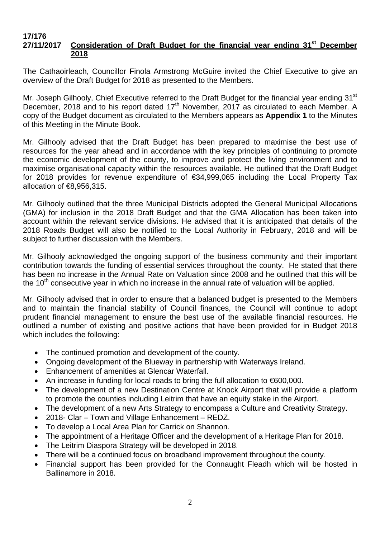#### **17/176 27/11/2017 Consideration of Draft Budget for the financial year ending 31st December 2018**

The Cathaoirleach, Councillor Finola Armstrong McGuire invited the Chief Executive to give an overview of the Draft Budget for 2018 as presented to the Members.

Mr. Joseph Gilhooly, Chief Executive referred to the Draft Budget for the financial year ending 31<sup>st</sup> December, 2018 and to his report dated 17<sup>th</sup> November, 2017 as circulated to each Member. A copy of the Budget document as circulated to the Members appears as **Appendix 1** to the Minutes of this Meeting in the Minute Book.

Mr. Gilhooly advised that the Draft Budget has been prepared to maximise the best use of resources for the year ahead and in accordance with the key principles of continuing to promote the economic development of the county, to improve and protect the living environment and to maximise organisational capacity within the resources available. He outlined that the Draft Budget for 2018 provides for revenue expenditure of €34,999,065 including the Local Property Tax allocation of €8,956,315.

Mr. Gilhooly outlined that the three Municipal Districts adopted the General Municipal Allocations (GMA) for inclusion in the 2018 Draft Budget and that the GMA Allocation has been taken into account within the relevant service divisions. He advised that it is anticipated that details of the 2018 Roads Budget will also be notified to the Local Authority in February, 2018 and will be subject to further discussion with the Members.

Mr. Gilhooly acknowledged the ongoing support of the business community and their important contribution towards the funding of essential services throughout the county. He stated that there has been no increase in the Annual Rate on Valuation since 2008 and he outlined that this will be the  $10<sup>th</sup>$  consecutive year in which no increase in the annual rate of valuation will be applied.

Mr. Gilhooly advised that in order to ensure that a balanced budget is presented to the Members and to maintain the financial stability of Council finances, the Council will continue to adopt prudent financial management to ensure the best use of the available financial resources. He outlined a number of existing and positive actions that have been provided for in Budget 2018 which includes the following:

- The continued promotion and development of the county.
- Ongoing development of the Blueway in partnership with Waterways Ireland.
- Enhancement of amenities at Glencar Waterfall.
- An increase in funding for local roads to bring the full allocation to €600,000.
- The development of a new Destination Centre at Knock Airport that will provide a platform to promote the counties including Leitrim that have an equity stake in the Airport.
- The development of a new Arts Strategy to encompass a Culture and Creativity Strategy.
- 2018- Clar Town and Village Enhancement REDZ.
- To develop a Local Area Plan for Carrick on Shannon.
- The appointment of a Heritage Officer and the development of a Heritage Plan for 2018.
- The Leitrim Diaspora Strategy will be developed in 2018.
- There will be a continued focus on broadband improvement throughout the county.
- Financial support has been provided for the Connaught Fleadh which will be hosted in Ballinamore in 2018.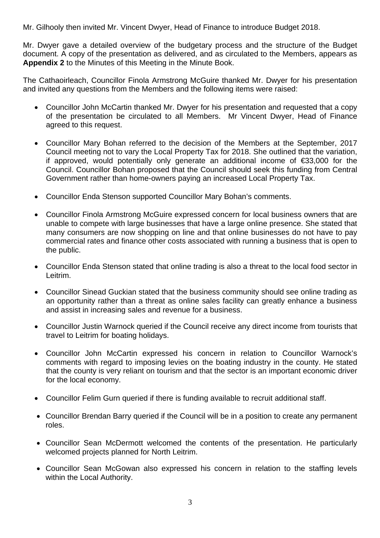Mr. Gilhooly then invited Mr. Vincent Dwyer, Head of Finance to introduce Budget 2018.

Mr. Dwyer gave a detailed overview of the budgetary process and the structure of the Budget document. A copy of the presentation as delivered, and as circulated to the Members, appears as **Appendix 2** to the Minutes of this Meeting in the Minute Book.

The Cathaoirleach, Councillor Finola Armstrong McGuire thanked Mr. Dwyer for his presentation and invited any questions from the Members and the following items were raised:

- Councillor John McCartin thanked Mr. Dwyer for his presentation and requested that a copy of the presentation be circulated to all Members. Mr Vincent Dwyer, Head of Finance agreed to this request.
- Councillor Mary Bohan referred to the decision of the Members at the September, 2017 Council meeting not to vary the Local Property Tax for 2018. She outlined that the variation, if approved, would potentially only generate an additional income of €33,000 for the Council. Councillor Bohan proposed that the Council should seek this funding from Central Government rather than home-owners paying an increased Local Property Tax.
- Councillor Enda Stenson supported Councillor Mary Bohan's comments.
- Councillor Finola Armstrong McGuire expressed concern for local business owners that are unable to compete with large businesses that have a large online presence. She stated that many consumers are now shopping on line and that online businesses do not have to pay commercial rates and finance other costs associated with running a business that is open to the public.
- Councillor Enda Stenson stated that online trading is also a threat to the local food sector in Leitrim.
- Councillor Sinead Guckian stated that the business community should see online trading as an opportunity rather than a threat as online sales facility can greatly enhance a business and assist in increasing sales and revenue for a business.
- Councillor Justin Warnock queried if the Council receive any direct income from tourists that travel to Leitrim for boating holidays.
- Councillor John McCartin expressed his concern in relation to Councillor Warnock's comments with regard to imposing levies on the boating industry in the county. He stated that the county is very reliant on tourism and that the sector is an important economic driver for the local economy.
- Councillor Felim Gurn queried if there is funding available to recruit additional staff.
- Councillor Brendan Barry queried if the Council will be in a position to create any permanent roles.
- Councillor Sean McDermott welcomed the contents of the presentation. He particularly welcomed projects planned for North Leitrim.
- Councillor Sean McGowan also expressed his concern in relation to the staffing levels within the Local Authority.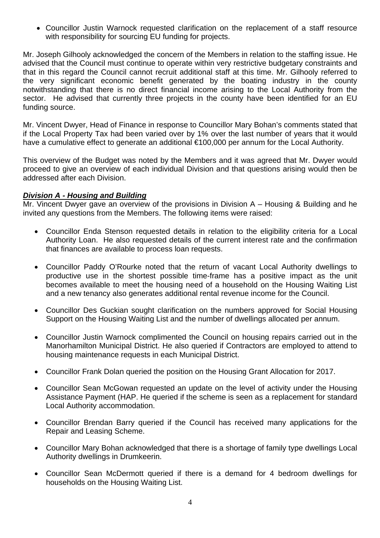• Councillor Justin Warnock requested clarification on the replacement of a staff resource with responsibility for sourcing EU funding for projects.

Mr. Joseph Gilhooly acknowledged the concern of the Members in relation to the staffing issue. He advised that the Council must continue to operate within very restrictive budgetary constraints and that in this regard the Council cannot recruit additional staff at this time. Mr. Gilhooly referred to the very significant economic benefit generated by the boating industry in the county notwithstanding that there is no direct financial income arising to the Local Authority from the sector. He advised that currently three projects in the county have been identified for an EU funding source.

Mr. Vincent Dwyer, Head of Finance in response to Councillor Mary Bohan's comments stated that if the Local Property Tax had been varied over by 1% over the last number of years that it would have a cumulative effect to generate an additional €100,000 per annum for the Local Authority.

This overview of the Budget was noted by the Members and it was agreed that Mr. Dwyer would proceed to give an overview of each individual Division and that questions arising would then be addressed after each Division.

#### *Division A - Housing and Building*

Mr. Vincent Dwyer gave an overview of the provisions in Division A – Housing & Building and he invited any questions from the Members. The following items were raised:

- Councillor Enda Stenson requested details in relation to the eligibility criteria for a Local Authority Loan. He also requested details of the current interest rate and the confirmation that finances are available to process loan requests.
- Councillor Paddy O'Rourke noted that the return of vacant Local Authority dwellings to productive use in the shortest possible time-frame has a positive impact as the unit becomes available to meet the housing need of a household on the Housing Waiting List and a new tenancy also generates additional rental revenue income for the Council.
- Councillor Des Guckian sought clarification on the numbers approved for Social Housing Support on the Housing Waiting List and the number of dwellings allocated per annum.
- Councillor Justin Warnock complimented the Council on housing repairs carried out in the Manorhamilton Municipal District. He also queried if Contractors are employed to attend to housing maintenance requests in each Municipal District.
- Councillor Frank Dolan queried the position on the Housing Grant Allocation for 2017.
- Councillor Sean McGowan requested an update on the level of activity under the Housing Assistance Payment (HAP. He queried if the scheme is seen as a replacement for standard Local Authority accommodation.
- Councillor Brendan Barry queried if the Council has received many applications for the Repair and Leasing Scheme.
- Councillor Mary Bohan acknowledged that there is a shortage of family type dwellings Local Authority dwellings in Drumkeerin.
- Councillor Sean McDermott queried if there is a demand for 4 bedroom dwellings for households on the Housing Waiting List.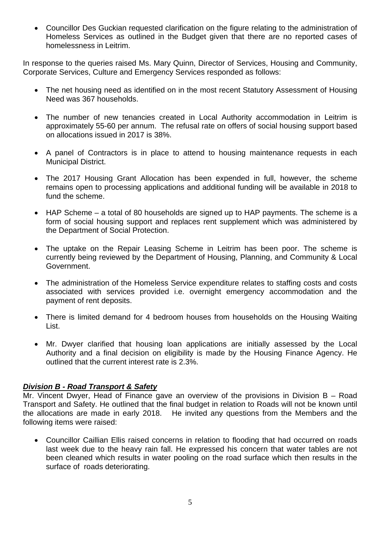• Councillor Des Guckian requested clarification on the figure relating to the administration of Homeless Services as outlined in the Budget given that there are no reported cases of homelessness in Leitrim.

In response to the queries raised Ms. Mary Quinn, Director of Services, Housing and Community, Corporate Services, Culture and Emergency Services responded as follows:

- The net housing need as identified on in the most recent Statutory Assessment of Housing Need was 367 households.
- The number of new tenancies created in Local Authority accommodation in Leitrim is approximately 55-60 per annum. The refusal rate on offers of social housing support based on allocations issued in 2017 is 38%.
- A panel of Contractors is in place to attend to housing maintenance requests in each Municipal District.
- The 2017 Housing Grant Allocation has been expended in full, however, the scheme remains open to processing applications and additional funding will be available in 2018 to fund the scheme.
- HAP Scheme a total of 80 households are signed up to HAP payments. The scheme is a form of social housing support and replaces rent supplement which was administered by the Department of Social Protection.
- The uptake on the Repair Leasing Scheme in Leitrim has been poor. The scheme is currently being reviewed by the Department of Housing, Planning, and Community & Local Government.
- The administration of the Homeless Service expenditure relates to staffing costs and costs associated with services provided i.e. overnight emergency accommodation and the payment of rent deposits.
- There is limited demand for 4 bedroom houses from households on the Housing Waiting List.
- Mr. Dwyer clarified that housing loan applications are initially assessed by the Local Authority and a final decision on eligibility is made by the Housing Finance Agency. He outlined that the current interest rate is 2.3%.

# *Division B - Road Transport & Safety*

Mr. Vincent Dwyer, Head of Finance gave an overview of the provisions in Division B – Road Transport and Safety. He outlined that the final budget in relation to Roads will not be known until the allocations are made in early 2018. He invited any questions from the Members and the following items were raised:

• Councillor Caillian Ellis raised concerns in relation to flooding that had occurred on roads last week due to the heavy rain fall. He expressed his concern that water tables are not been cleaned which results in water pooling on the road surface which then results in the surface of roads deteriorating.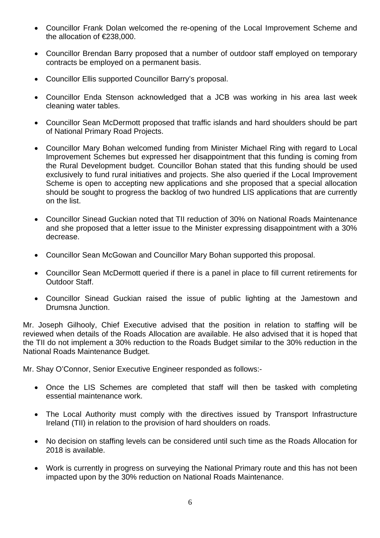- Councillor Frank Dolan welcomed the re-opening of the Local Improvement Scheme and the allocation of €238,000.
- Councillor Brendan Barry proposed that a number of outdoor staff employed on temporary contracts be employed on a permanent basis.
- Councillor Ellis supported Councillor Barry's proposal.
- Councillor Enda Stenson acknowledged that a JCB was working in his area last week cleaning water tables.
- Councillor Sean McDermott proposed that traffic islands and hard shoulders should be part of National Primary Road Projects.
- Councillor Mary Bohan welcomed funding from Minister Michael Ring with regard to Local Improvement Schemes but expressed her disappointment that this funding is coming from the Rural Development budget. Councillor Bohan stated that this funding should be used exclusively to fund rural initiatives and projects. She also queried if the Local Improvement Scheme is open to accepting new applications and she proposed that a special allocation should be sought to progress the backlog of two hundred LIS applications that are currently on the list.
- Councillor Sinead Guckian noted that TII reduction of 30% on National Roads Maintenance and she proposed that a letter issue to the Minister expressing disappointment with a 30% decrease.
- Councillor Sean McGowan and Councillor Mary Bohan supported this proposal.
- Councillor Sean McDermott queried if there is a panel in place to fill current retirements for Outdoor Staff.
- Councillor Sinead Guckian raised the issue of public lighting at the Jamestown and Drumsna Junction.

Mr. Joseph Gilhooly, Chief Executive advised that the position in relation to staffing will be reviewed when details of the Roads Allocation are available. He also advised that it is hoped that the TII do not implement a 30% reduction to the Roads Budget similar to the 30% reduction in the National Roads Maintenance Budget.

Mr. Shay O'Connor, Senior Executive Engineer responded as follows:-

- Once the LIS Schemes are completed that staff will then be tasked with completing essential maintenance work.
- The Local Authority must comply with the directives issued by Transport Infrastructure Ireland (TII) in relation to the provision of hard shoulders on roads.
- No decision on staffing levels can be considered until such time as the Roads Allocation for 2018 is available.
- Work is currently in progress on surveying the National Primary route and this has not been impacted upon by the 30% reduction on National Roads Maintenance.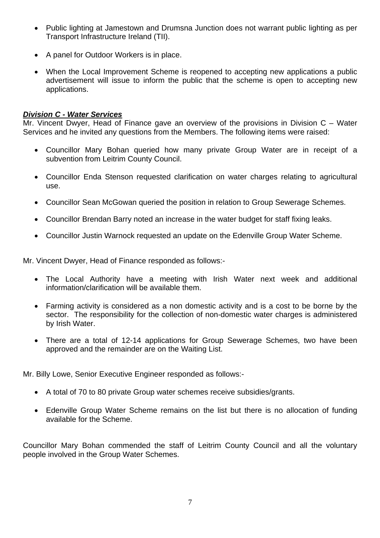- Public lighting at Jamestown and Drumsna Junction does not warrant public lighting as per Transport Infrastructure Ireland (TII).
- A panel for Outdoor Workers is in place.
- When the Local Improvement Scheme is reopened to accepting new applications a public advertisement will issue to inform the public that the scheme is open to accepting new applications.

#### *Division C - Water Services*

Mr. Vincent Dwyer, Head of Finance gave an overview of the provisions in Division C – Water Services and he invited any questions from the Members. The following items were raised:

- Councillor Mary Bohan queried how many private Group Water are in receipt of a subvention from Leitrim County Council.
- Councillor Enda Stenson requested clarification on water charges relating to agricultural use.
- Councillor Sean McGowan queried the position in relation to Group Sewerage Schemes.
- Councillor Brendan Barry noted an increase in the water budget for staff fixing leaks.
- Councillor Justin Warnock requested an update on the Edenville Group Water Scheme.

Mr. Vincent Dwyer, Head of Finance responded as follows:-

- The Local Authority have a meeting with Irish Water next week and additional information/clarification will be available them.
- Farming activity is considered as a non domestic activity and is a cost to be borne by the sector. The responsibility for the collection of non-domestic water charges is administered by Irish Water.
- There are a total of 12-14 applications for Group Sewerage Schemes, two have been approved and the remainder are on the Waiting List.

Mr. Billy Lowe, Senior Executive Engineer responded as follows:-

- A total of 70 to 80 private Group water schemes receive subsidies/grants.
- Edenville Group Water Scheme remains on the list but there is no allocation of funding available for the Scheme.

Councillor Mary Bohan commended the staff of Leitrim County Council and all the voluntary people involved in the Group Water Schemes.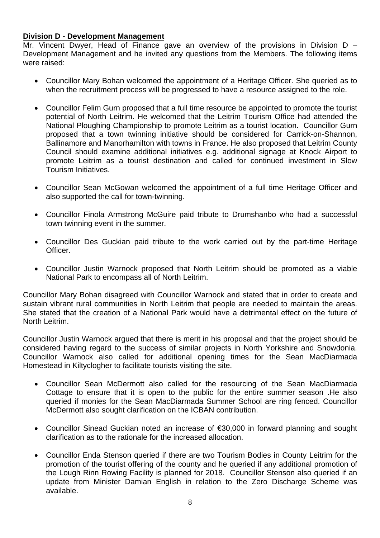#### **Division D - Development Management**

Mr. Vincent Dwyer, Head of Finance gave an overview of the provisions in Division D – Development Management and he invited any questions from the Members. The following items were raised:

- Councillor Mary Bohan welcomed the appointment of a Heritage Officer. She queried as to when the recruitment process will be progressed to have a resource assigned to the role.
- Councillor Felim Gurn proposed that a full time resource be appointed to promote the tourist potential of North Leitrim. He welcomed that the Leitrim Tourism Office had attended the National Ploughing Championship to promote Leitrim as a tourist location. Councillor Gurn proposed that a town twinning initiative should be considered for Carrick-on-Shannon, Ballinamore and Manorhamilton with towns in France. He also proposed that Leitrim County Council should examine additional initiatives e.g. additional signage at Knock Airport to promote Leitrim as a tourist destination and called for continued investment in Slow Tourism Initiatives.
- Councillor Sean McGowan welcomed the appointment of a full time Heritage Officer and also supported the call for town-twinning.
- Councillor Finola Armstrong McGuire paid tribute to Drumshanbo who had a successful town twinning event in the summer.
- Councillor Des Guckian paid tribute to the work carried out by the part-time Heritage Officer.
- Councillor Justin Warnock proposed that North Leitrim should be promoted as a viable National Park to encompass all of North Leitrim.

Councillor Mary Bohan disagreed with Councillor Warnock and stated that in order to create and sustain vibrant rural communities in North Leitrim that people are needed to maintain the areas. She stated that the creation of a National Park would have a detrimental effect on the future of North Leitrim.

Councillor Justin Warnock argued that there is merit in his proposal and that the project should be considered having regard to the success of similar projects in North Yorkshire and Snowdonia. Councillor Warnock also called for additional opening times for the Sean MacDiarmada Homestead in Kiltyclogher to facilitate tourists visiting the site.

- Councillor Sean McDermott also called for the resourcing of the Sean MacDiarmada Cottage to ensure that it is open to the public for the entire summer season .He also queried if monies for the Sean MacDiarmada Summer School are ring fenced. Councillor McDermott also sought clarification on the ICBAN contribution.
- Councillor Sinead Guckian noted an increase of €30,000 in forward planning and sought clarification as to the rationale for the increased allocation.
- Councillor Enda Stenson queried if there are two Tourism Bodies in County Leitrim for the promotion of the tourist offering of the county and he queried if any additional promotion of the Lough Rinn Rowing Facility is planned for 2018. Councillor Stenson also queried if an update from Minister Damian English in relation to the Zero Discharge Scheme was available.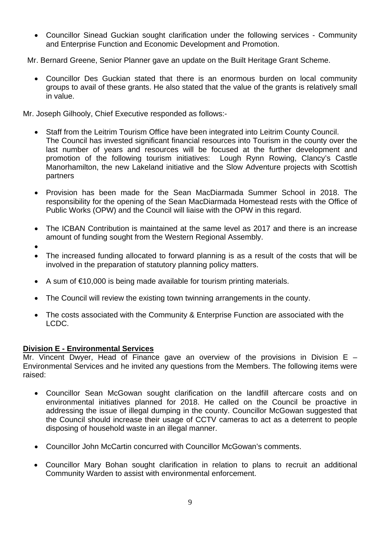• Councillor Sinead Guckian sought clarification under the following services - Community and Enterprise Function and Economic Development and Promotion.

Mr. Bernard Greene, Senior Planner gave an update on the Built Heritage Grant Scheme.

• Councillor Des Guckian stated that there is an enormous burden on local community groups to avail of these grants. He also stated that the value of the grants is relatively small in value.

Mr. Joseph Gilhooly, Chief Executive responded as follows:-

- Staff from the Leitrim Tourism Office have been integrated into Leitrim County Council. The Council has invested significant financial resources into Tourism in the county over the last number of years and resources will be focused at the further development and promotion of the following tourism initiatives: Lough Rynn Rowing, Clancy's Castle Manorhamilton, the new Lakeland initiative and the Slow Adventure projects with Scottish partners
- Provision has been made for the Sean MacDiarmada Summer School in 2018. The responsibility for the opening of the Sean MacDiarmada Homestead rests with the Office of Public Works (OPW) and the Council will liaise with the OPW in this regard.
- The ICBAN Contribution is maintained at the same level as 2017 and there is an increase amount of funding sought from the Western Regional Assembly.
- •
- The increased funding allocated to forward planning is as a result of the costs that will be involved in the preparation of statutory planning policy matters.
- A sum of €10,000 is being made available for tourism printing materials.
- The Council will review the existing town twinning arrangements in the county.
- The costs associated with the Community & Enterprise Function are associated with the LCDC.

# **Division E - Environmental Services**

Mr. Vincent Dwyer, Head of Finance gave an overview of the provisions in Division E – Environmental Services and he invited any questions from the Members. The following items were raised:

- Councillor Sean McGowan sought clarification on the landfill aftercare costs and on environmental initiatives planned for 2018. He called on the Council be proactive in addressing the issue of illegal dumping in the county. Councillor McGowan suggested that the Council should increase their usage of CCTV cameras to act as a deterrent to people disposing of household waste in an illegal manner.
- Councillor John McCartin concurred with Councillor McGowan's comments.
- Councillor Mary Bohan sought clarification in relation to plans to recruit an additional Community Warden to assist with environmental enforcement.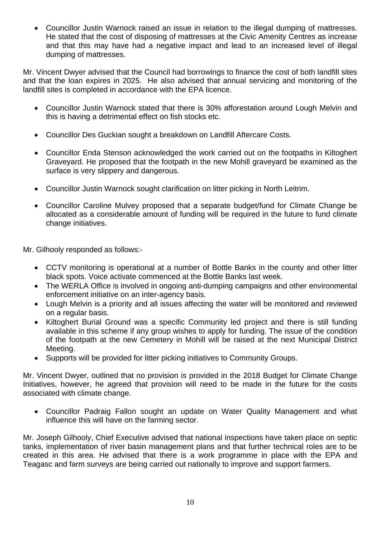• Councillor Justin Warnock raised an issue in relation to the illegal dumping of mattresses. He stated that the cost of disposing of mattresses at the Civic Amenity Centres as increase and that this may have had a negative impact and lead to an increased level of illegal dumping of mattresses.

Mr. Vincent Dwyer advised that the Council had borrowings to finance the cost of both landfill sites and that the loan expires in 2025. He also advised that annual servicing and monitoring of the landfill sites is completed in accordance with the EPA licence.

- Councillor Justin Warnock stated that there is 30% afforestation around Lough Melvin and this is having a detrimental effect on fish stocks etc.
- Councillor Des Guckian sought a breakdown on Landfill Aftercare Costs.
- Councillor Enda Stenson acknowledged the work carried out on the footpaths in Kiltoghert Graveyard. He proposed that the footpath in the new Mohill graveyard be examined as the surface is very slippery and dangerous.
- Councillor Justin Warnock sought clarification on litter picking in North Leitrim.
- Councillor Caroline Mulvey proposed that a separate budget/fund for Climate Change be allocated as a considerable amount of funding will be required in the future to fund climate change initiatives.

Mr. Gilhooly responded as follows:-

- CCTV monitoring is operational at a number of Bottle Banks in the county and other litter black spots. Voice activate commenced at the Bottle Banks last week.
- The WERLA Office is involved in ongoing anti-dumping campaigns and other environmental enforcement initiative on an inter-agency basis.
- Lough Melvin is a priority and all issues affecting the water will be monitored and reviewed on a regular basis.
- Kiltoghert Burial Ground was a specific Community led project and there is still funding available in this scheme if any group wishes to apply for funding. The issue of the condition of the footpath at the new Cemetery in Mohill will be raised at the next Municipal District Meeting.
- Supports will be provided for litter picking initiatives to Community Groups.

Mr. Vincent Dwyer, outlined that no provision is provided in the 2018 Budget for Climate Change Initiatives, however, he agreed that provision will need to be made in the future for the costs associated with climate change.

• Councillor Padraig Fallon sought an update on Water Quality Management and what influence this will have on the farming sector.

Mr. Joseph Gilhooly, Chief Executive advised that national inspections have taken place on septic tanks, implementation of river basin management plans and that further technical roles are to be created in this area. He advised that there is a work programme in place with the EPA and Teagasc and farm surveys are being carried out nationally to improve and support farmers.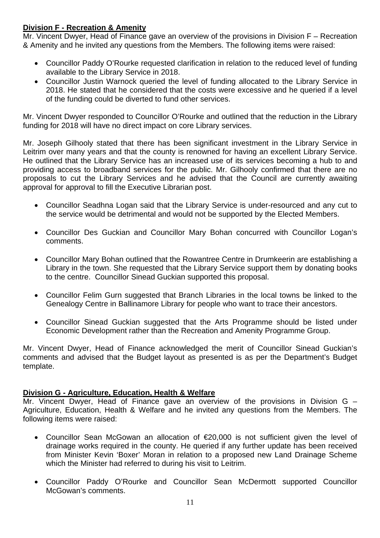# **Division F - Recreation & Amenity**

Mr. Vincent Dwyer, Head of Finance gave an overview of the provisions in Division F – Recreation & Amenity and he invited any questions from the Members. The following items were raised:

- Councillor Paddy O'Rourke requested clarification in relation to the reduced level of funding available to the Library Service in 2018.
- Councillor Justin Warnock queried the level of funding allocated to the Library Service in 2018. He stated that he considered that the costs were excessive and he queried if a level of the funding could be diverted to fund other services.

Mr. Vincent Dwyer responded to Councillor O'Rourke and outlined that the reduction in the Library funding for 2018 will have no direct impact on core Library services.

Mr. Joseph Gilhooly stated that there has been significant investment in the Library Service in Leitrim over many years and that the county is renowned for having an excellent Library Service. He outlined that the Library Service has an increased use of its services becoming a hub to and providing access to broadband services for the public. Mr. Gilhooly confirmed that there are no proposals to cut the Library Services and he advised that the Council are currently awaiting approval for approval to fill the Executive Librarian post.

- Councillor Seadhna Logan said that the Library Service is under-resourced and any cut to the service would be detrimental and would not be supported by the Elected Members.
- Councillor Des Guckian and Councillor Mary Bohan concurred with Councillor Logan's comments.
- Councillor Mary Bohan outlined that the Rowantree Centre in Drumkeerin are establishing a Library in the town. She requested that the Library Service support them by donating books to the centre. Councillor Sinead Guckian supported this proposal.
- Councillor Felim Gurn suggested that Branch Libraries in the local towns be linked to the Genealogy Centre in Ballinamore Library for people who want to trace their ancestors.
- Councillor Sinead Guckian suggested that the Arts Programme should be listed under Economic Development rather than the Recreation and Amenity Programme Group.

Mr. Vincent Dwyer, Head of Finance acknowledged the merit of Councillor Sinead Guckian's comments and advised that the Budget layout as presented is as per the Department's Budget template.

# **Division G - Agriculture, Education, Health & Welfare**

Mr. Vincent Dwyer, Head of Finance gave an overview of the provisions in Division G – Agriculture, Education, Health & Welfare and he invited any questions from the Members. The following items were raised:

- Councillor Sean McGowan an allocation of €20,000 is not sufficient given the level of drainage works required in the county. He queried if any further update has been received from Minister Kevin 'Boxer' Moran in relation to a proposed new Land Drainage Scheme which the Minister had referred to during his visit to Leitrim.
- Councillor Paddy O'Rourke and Councillor Sean McDermott supported Councillor McGowan's comments.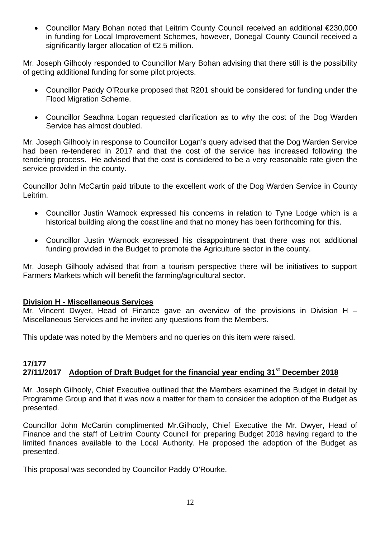• Councillor Mary Bohan noted that Leitrim County Council received an additional €230,000 in funding for Local Improvement Schemes, however, Donegal County Council received a significantly larger allocation of €2.5 million.

Mr. Joseph Gilhooly responded to Councillor Mary Bohan advising that there still is the possibility of getting additional funding for some pilot projects.

- Councillor Paddy O'Rourke proposed that R201 should be considered for funding under the Flood Migration Scheme.
- Councillor Seadhna Logan requested clarification as to why the cost of the Dog Warden Service has almost doubled.

Mr. Joseph Gilhooly in response to Councillor Logan's query advised that the Dog Warden Service had been re-tendered in 2017 and that the cost of the service has increased following the tendering process. He advised that the cost is considered to be a very reasonable rate given the service provided in the county.

Councillor John McCartin paid tribute to the excellent work of the Dog Warden Service in County Leitrim.

- Councillor Justin Warnock expressed his concerns in relation to Tyne Lodge which is a historical building along the coast line and that no money has been forthcoming for this.
- Councillor Justin Warnock expressed his disappointment that there was not additional funding provided in the Budget to promote the Agriculture sector in the county.

Mr. Joseph Gilhooly advised that from a tourism perspective there will be initiatives to support Farmers Markets which will benefit the farming/agricultural sector.

# **Division H - Miscellaneous Services**

Mr. Vincent Dwyer, Head of Finance gave an overview of the provisions in Division H – Miscellaneous Services and he invited any questions from the Members.

This update was noted by the Members and no queries on this item were raised.

#### **17/177**  27/11/2017 Adoption of Draft Budget for the financial year ending 31<sup>st</sup> December 2018

Mr. Joseph Gilhooly, Chief Executive outlined that the Members examined the Budget in detail by Programme Group and that it was now a matter for them to consider the adoption of the Budget as presented.

Councillor John McCartin complimented Mr.Gilhooly, Chief Executive the Mr. Dwyer, Head of Finance and the staff of Leitrim County Council for preparing Budget 2018 having regard to the limited finances available to the Local Authority. He proposed the adoption of the Budget as presented.

This proposal was seconded by Councillor Paddy O'Rourke.